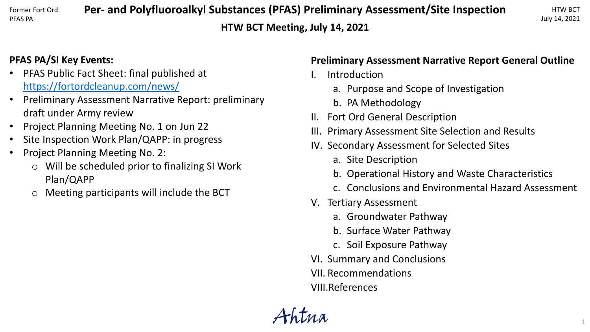#### Former Fort Ord PFAS PA

**Per- and Polyfluoroalkyl Substances (PFAS) Preliminary Assessment/Site Inspection HTW BCT Meeting, July 14, 2021**

# **PFAS PA/SI Key Events:**

- PFAS Public Fact Sheet: final published at <https://fortordcleanup.com/news/>
- Preliminary Assessment Narrative Report: preliminary draft under Army review
- Project Planning Meeting No. 1 on Jun 22
- Site Inspection Work Plan/QAPP: in progress
- Project Planning Meeting No. 2:
	- o Will be scheduled prior to finalizing SI Work Plan/QAPP
	- o Meeting participants will include the BCT

## **Preliminary Assessment Narrative Report General Outline**

- **Introduction** 
	- a. Purpose and Scope of Investigation
	- b. PA Methodology
- II. Fort Ord General Description
- III. Primary Assessment Site Selection and Results
- IV. Secondary Assessment for Selected Sites
	- a. Site Description
	- b. Operational History and Waste Characteristics
	- c. Conclusions and Environmental Hazard Assessment
- V. Tertiary Assessment
	- a. Groundwater Pathway
	- b. Surface Water Pathway
	- c. Soil Exposure Pathway
- VI. Summary and Conclusions
- VII. Recommendations
- VIII.References